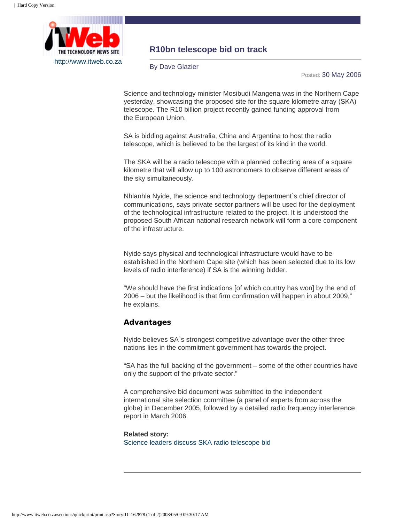

## **R10bn telescope bid on track**

By Dave Glazier

Posted: 30 May 2006

Science and technology minister Mosibudi Mangena was in the Northern Cape yesterday, showcasing the proposed site for the square kilometre array (SKA) telescope. The R10 billion project recently gained funding approval from the European Union.

SA is bidding against Australia, China and Argentina to host the radio telescope, which is believed to be the largest of its kind in the world.

The SKA will be a radio telescope with a planned collecting area of a square kilometre that will allow up to 100 astronomers to observe different areas of the sky simultaneously.

Nhlanhla Nyide, the science and technology department`s chief director of communications, says private sector partners will be used for the deployment of the technological infrastructure related to the project. It is understood the proposed South African national research network will form a core component of the infrastructure.

Nyide says physical and technological infrastructure would have to be established in the Northern Cape site (which has been selected due to its low levels of radio interference) if SA is the winning bidder.

"We should have the first indications [of which country has won] by the end of 2006 – but the likelihood is that firm confirmation will happen in about 2009," he explains.

## **Advantages**

Nyide believes SA`s strongest competitive advantage over the other three nations lies in the commitment government has towards the project.

"SA has the full backing of the government – some of the other countries have only the support of the private sector."

A comprehensive bid document was submitted to the independent international site selection committee (a panel of experts from across the globe) in December 2005, followed by a detailed radio frequency interference report in March 2006.

## **Related story:** [Science leaders discuss SKA radio telescope bid](http://www.itweb.co.za/sections/telecoms/2003/0310070826.asp?A=ENT&O=F)